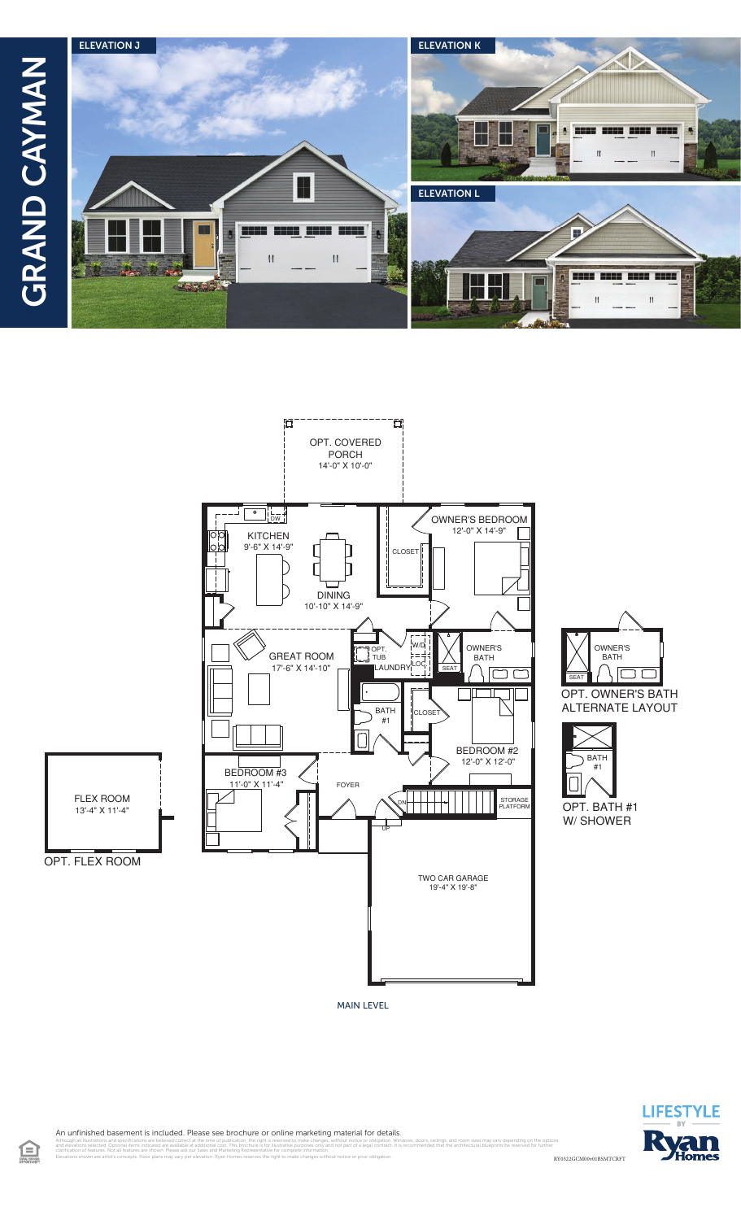



OWNER'S **BATH** ١c  $\overline{\mathsf{C}}$ OPT. OWNER'S BATH **ALTERNATE LAYOUT** 



MAIN LEVEL



An unfinished basement is included. Please see brochure or online marketing material for details.

Elevations shown are artist's concepts. Floor plans may vary per elevation. Ryan Homes reserves the right to make changes without notice or prior obligation.

RY0322GCM00v01BSMTCRFT illustrations and specifications are believed correct at the time of publication, the right is reserved to make changes, without notice or obligation. Windows, doors, ceilings, and room sizes may vary depending on the op<br>I clarification of features. Not all features are shown. Please ask our Sales and Marketing Representative for complete information.

盒